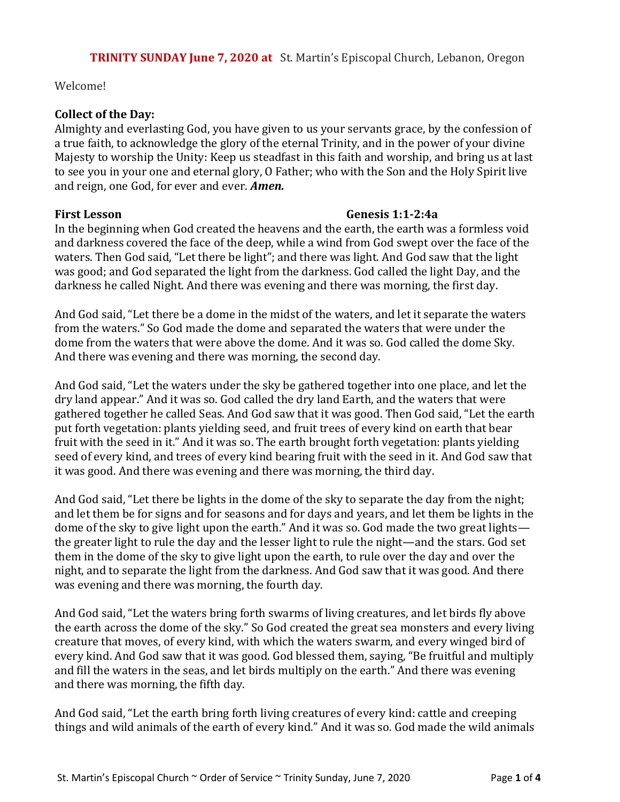Welcome!

## **Collect of the Day:**

Almighty and everlasting God, you have given to us your servants grace, by the confession of a true faith, to acknowledge the glory of the eternal Trinity, and in the power of your divine Majesty to worship the Unity: Keep us steadfast in this faith and worship, and bring us at last to see you in your one and eternal glory, O Father; who with the Son and the Holy Spirit live and reign, one God, for ever and ever. *Amen.*

### **First Lesson Genesis 1:1-2:4a**

In the beginning when God created the heavens and the earth, the earth was a formless void and darkness covered the face of the deep, while a wind from God swept over the face of the waters. Then God said, "Let there be light"; and there was light. And God saw that the light was good; and God separated the light from the darkness. God called the light Day, and the darkness he called Night. And there was evening and there was morning, the first day.

And God said, "Let there be a dome in the midst of the waters, and let it separate the waters from the waters." So God made the dome and separated the waters that were under the dome from the waters that were above the dome. And it was so. God called the dome Sky. And there was evening and there was morning, the second day.

And God said, "Let the waters under the sky be gathered together into one place, and let the dry land appear." And it was so. God called the dry land Earth, and the waters that were gathered together he called Seas. And God saw that it was good. Then God said, "Let the earth put forth vegetation: plants yielding seed, and fruit trees of every kind on earth that bear fruit with the seed in it." And it was so. The earth brought forth vegetation: plants yielding seed of every kind, and trees of every kind bearing fruit with the seed in it. And God saw that it was good. And there was evening and there was morning, the third day.

And God said, "Let there be lights in the dome of the sky to separate the day from the night; and let them be for signs and for seasons and for days and years, and let them be lights in the dome of the sky to give light upon the earth." And it was so. God made the two great lights the greater light to rule the day and the lesser light to rule the night—and the stars. God set them in the dome of the sky to give light upon the earth, to rule over the day and over the night, and to separate the light from the darkness. And God saw that it was good. And there was evening and there was morning, the fourth day.

And God said, "Let the waters bring forth swarms of living creatures, and let birds fly above the earth across the dome of the sky." So God created the great sea monsters and every living creature that moves, of every kind, with which the waters swarm, and every winged bird of every kind. And God saw that it was good. God blessed them, saying, "Be fruitful and multiply and fill the waters in the seas, and let birds multiply on the earth." And there was evening and there was morning, the fifth day.

And God said, "Let the earth bring forth living creatures of every kind: cattle and creeping things and wild animals of the earth of every kind." And it was so. God made the wild animals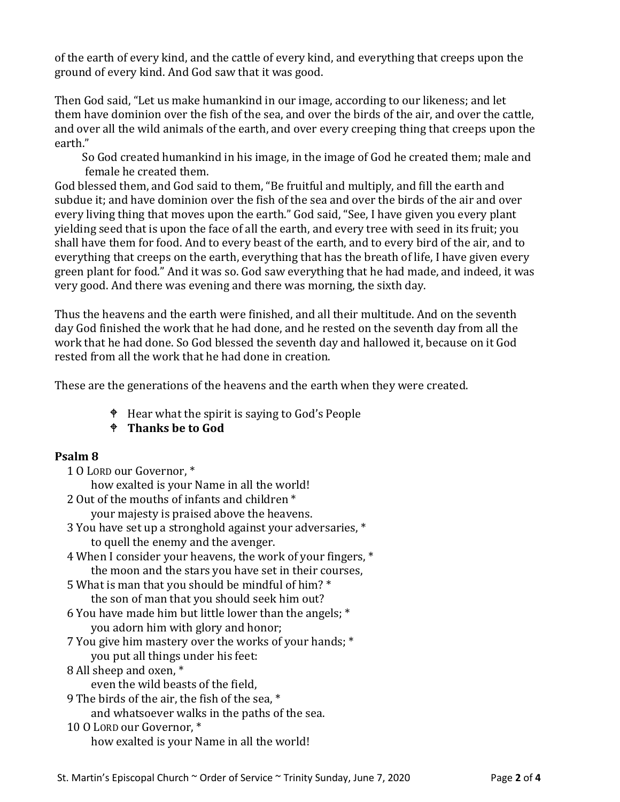of the earth of every kind, and the cattle of every kind, and everything that creeps upon the ground of every kind. And God saw that it was good.

Then God said, "Let us make humankind in our image, according to our likeness; and let them have dominion over the fish of the sea, and over the birds of the air, and over the cattle, and over all the wild animals of the earth, and over every creeping thing that creeps upon the earth."

 So God created humankind in his image, in the image of God he created them; male and female he created them.

God blessed them, and God said to them, "Be fruitful and multiply, and fill the earth and subdue it; and have dominion over the fish of the sea and over the birds of the air and over every living thing that moves upon the earth." God said, "See, I have given you every plant yielding seed that is upon the face of all the earth, and every tree with seed in its fruit; you shall have them for food. And to every beast of the earth, and to every bird of the air, and to everything that creeps on the earth, everything that has the breath of life, I have given every green plant for food." And it was so. God saw everything that he had made, and indeed, it was very good. And there was evening and there was morning, the sixth day.

Thus the heavens and the earth were finished, and all their multitude. And on the seventh day God finished the work that he had done, and he rested on the seventh day from all the work that he had done. So God blessed the seventh day and hallowed it, because on it God rested from all the work that he had done in creation.

These are the generations of the heavens and the earth when they were created.

 $\bullet$  Hear what the spirit is saying to God's People

# **Thanks be to God**

# **Psalm 8**

1 O LORD our Governor, \*

how exalted is your Name in all the world!

- 2 Out of the mouths of infants and children \* your majesty is praised above the heavens.
- 3 You have set up a stronghold against your adversaries, \* to quell the enemy and the avenger.
- 4 When I consider your heavens, the work of your fingers, \* the moon and the stars you have set in their courses,
- 5 What is man that you should be mindful of him? \* the son of man that you should seek him out?
- 6 You have made him but little lower than the angels; \* you adorn him with glory and honor;
- 7 You give him mastery over the works of your hands; \* you put all things under his feet:
- 8 All sheep and oxen, \*

even the wild beasts of the field,

9 The birds of the air, the fish of the sea, \*

- and whatsoever walks in the paths of the sea.
- 10 O LORD our Governor, \* how exalted is your Name in all the world!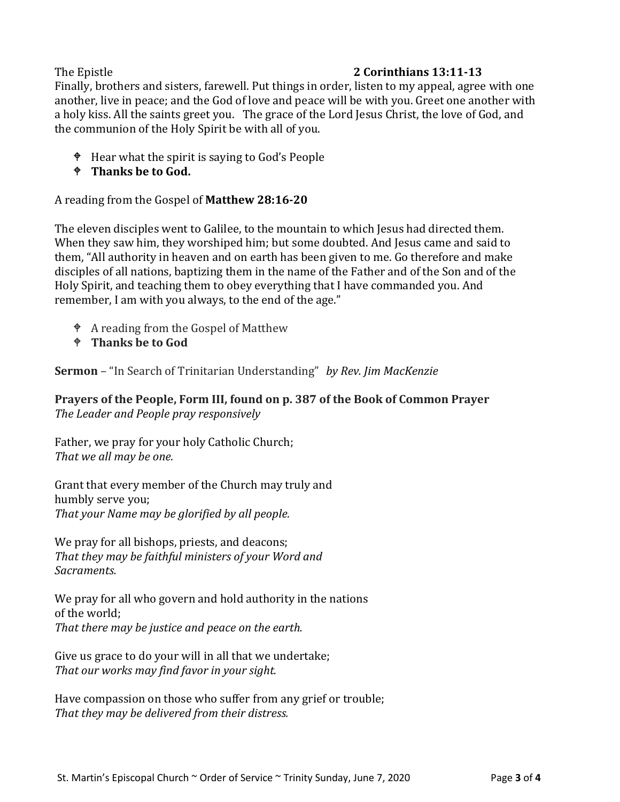# The Epistle **2 Corinthians 13:11-13**

Finally, brothers and sisters, farewell. Put things in order, listen to my appeal, agree with one another, live in peace; and the God of love and peace will be with you. Greet one another with a holy kiss. All the saints greet you. The grace of the Lord Jesus Christ, the love of God, and the communion of the Holy Spirit be with all of you.

- $\bullet$  Hear what the spirit is saying to God's People
- **Thanks be to God.**

A reading from the Gospel of **Matthew 28:16-20**

The eleven disciples went to Galilee, to the mountain to which Jesus had directed them. When they saw him, they worshiped him; but some doubted. And Jesus came and said to them, "All authority in heaven and on earth has been given to me. Go therefore and make disciples of all nations, baptizing them in the name of the Father and of the Son and of the Holy Spirit, and teaching them to obey everything that I have commanded you. And remember, I am with you always, to the end of the age."

- A reading from the Gospel of Matthew
- **Thanks be to God**

**Sermon** – "In Search of Trinitarian Understanding" *by Rev. Jim MacKenzie*

**Prayers of the People, Form III, found on p. 387 of the Book of Common Prayer** *The Leader and People pray responsively*

Father, we pray for your holy Catholic Church; *That we all may be one.*

Grant that every member of the Church may truly and humbly serve you; *That your Name may be glorified by all people.*

We pray for all bishops, priests, and deacons; *That they may be faithful ministers of your Word and Sacraments.*

We pray for all who govern and hold authority in the nations of the world; *That there may be justice and peace on the earth.*

Give us grace to do your will in all that we undertake; *That our works may find favor in your sight.*

Have compassion on those who suffer from any grief or trouble; *That they may be delivered from their distress.*